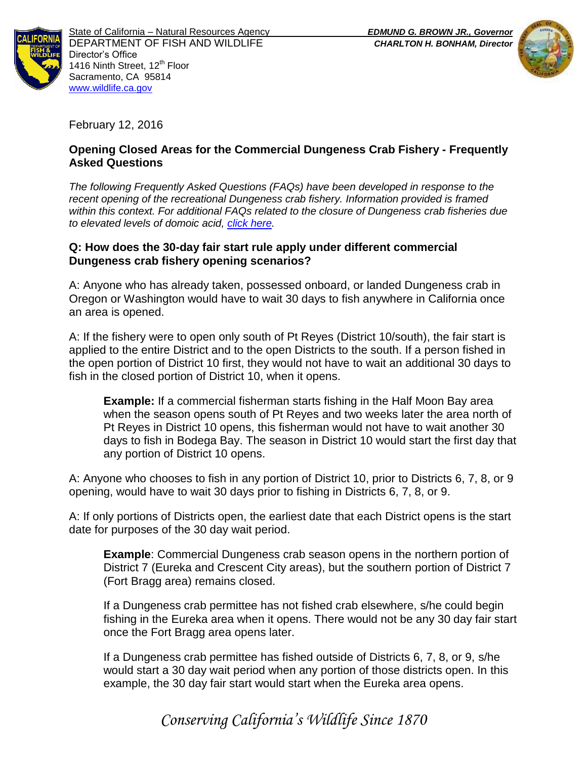



February 12, 2016

# **Opening Closed Areas for the Commercial Dungeness Crab Fishery - Frequently Asked Questions**

*The following Frequently Asked Questions (FAQs) have been developed in response to the recent opening of the recreational Dungeness crab fishery. Information provided is framed within this context. For additional FAQs related to the closure of Dungeness crab fisheries due to elevated levels of domoic acid, [click here.](https://nrm.dfg.ca.gov/FileHandler.ashx?DocumentID=114003&inline)* 

## **Q: How does the 30-day fair start rule apply under different commercial Dungeness crab fishery opening scenarios?**

A: Anyone who has already taken, possessed onboard, or landed Dungeness crab in Oregon or Washington would have to wait 30 days to fish anywhere in California once an area is opened.

A: If the fishery were to open only south of Pt Reyes (District 10/south), the fair start is applied to the entire District and to the open Districts to the south. If a person fished in the open portion of District 10 first, they would not have to wait an additional 30 days to fish in the closed portion of District 10, when it opens.

**Example:** If a commercial fisherman starts fishing in the Half Moon Bay area when the season opens south of Pt Reyes and two weeks later the area north of Pt Reyes in District 10 opens, this fisherman would not have to wait another 30 days to fish in Bodega Bay. The season in District 10 would start the first day that any portion of District 10 opens.

A: Anyone who chooses to fish in any portion of District 10, prior to Districts 6, 7, 8, or 9 opening, would have to wait 30 days prior to fishing in Districts 6, 7, 8, or 9.

A: If only portions of Districts open, the earliest date that each District opens is the start date for purposes of the 30 day wait period.

**Example**: Commercial Dungeness crab season opens in the northern portion of District 7 (Eureka and Crescent City areas), but the southern portion of District 7 (Fort Bragg area) remains closed.

If a Dungeness crab permittee has not fished crab elsewhere, s/he could begin fishing in the Eureka area when it opens. There would not be any 30 day fair start once the Fort Bragg area opens later.

If a Dungeness crab permittee has fished outside of Districts 6, 7, 8, or 9, s/he would start a 30 day wait period when any portion of those districts open. In this example, the 30 day fair start would start when the Eureka area opens.

*Conserving California's Wildlife Since 1870*